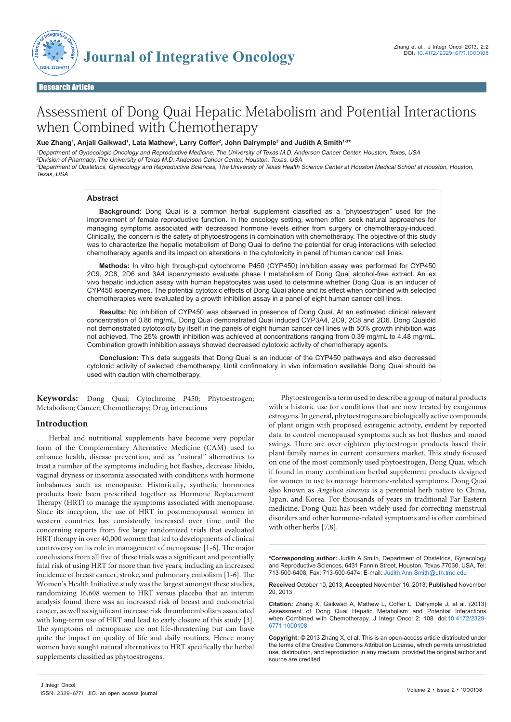

Research Article Open Access (2001) and the contract of the contract of the contract of the contract of the co

# Assessment of Dong Quai Hepatic Metabolism and Potential Interactions when Combined with Chemotherapy

## **Xue Zhang1 , Anjali Gaikwad1 , Lata Mathew2 , Larry Coffer2 , John Dalrymple3 and Judith A Smith1-3\***

<sup>1</sup>Department of Gynecologic Oncology and Reproductive Medicine, The University of Texas M.D. Anderson Cancer Center, Houston, Texas, USA <sup>2</sup>Division of Pharmacy, The University of Texas M.D. Anderson Cancer Center, Houston, Texas, USA <sup>3</sup>Department of Obstetrics, Gynecology and Reproductive Sciences, The University of Texas Health Science Center at Houston Medical School at Houston, Houston, Texas, USA

#### **Abstract**

**Background:** Dong Quai is a common herbal supplement classified as a "phytoestrogen" used for the improvement of female reproductive function. In the oncology setting, women often seek natural approaches for managing symptoms associated with decreased hormone levels either from surgery or chemotherapy-induced. Clinically, the concern is the safety of phytoestrogens in combination with chemotherapy. The objective of this study was to characterize the hepatic metabolism of Dong Quai to define the potential for drug interactions with selected chemotherapy agents and its impact on alterations in the cytotoxicity in panel of human cancer cell lines.

**Methods:** In vitro high through-put cytochrome P450 (CYP450) inhibition assay was performed for CYP450 2C9, 2C8, 2D6 and 3A4 isoenzymesto evaluate phase I metabolism of Dong Quai alcohol-free extract. An ex vivo hepatic induction assay with human hepatocytes was used to determine whether Dong Quai is an inducer of CYP450 isoenzymes. The potential cytotoxic effects of Dong Quai alone and its effect when combined with selected chemotherapies were evaluated by a growth inhibition assay in a panel of eight human cancer cell lines.

**Results:** No inhibition of CYP450 was observed in presence of Dong Quai. At an estimated clinical relevant concentration of 0.86 mg/mL, Dong Quai demonstrated Quai induced CYP3A4, 2C9, 2C8 and 2D6. Dong Quaidid not demonstrated cytotoxicity by itself in the panels of eight human cancer cell lines with 50% growth inhibition was not achieved. The 25% growth inhibition was achieved at concentrations ranging from 0.39 mg/mL to 4.48 mg/mL. Combination growth inhibition assays showed decreased cytotoxic activity of chemotherapy agents.

**Conclusion:** This data suggests that Dong Quai is an inducer of the CYP450 pathways and also decreased cytotoxic activity of selected chemotherapy. Until confirmatory in vivo information available Dong Quai should be used with caution with chemotherapy.

**Keywords:** Dong Quai; Cytochrome P450; Phytoestrogen; Metabolism; Cancer; Chemotherapy; Drug interactions

## **Introduction**

Herbal and nutritional supplements have become very popular form of the Complementary Alternative Medicine (CAM) used to enhance health, disease prevention, and as "natural" alternatives to treat a number of the symptoms including hot flashes, decrease libido, vaginal dryness or insomnia associated with conditions with hormone imbalances such as menopause. Historically, synthetic hormones products have been prescribed together as Hormone Replacement Therapy (HRT) to manage the symptoms associated with menopause. Since its inception, the use of HRT in postmenopausal women in western countries has consistently increased over time until the concerning reports from five large randomized trials that evaluated HRT therapy in over 40,000 women that led to developments of clinical controversy on its role in management of menopause [1-6]. The major conclusions from all five of these trials was a significant and potentially fatal risk of using HRT for more than five years, including an increased incidence of breast cancer, stroke, and pulmonary embolism [1-6]. The Women's Health Initiative study was the largest amongst these studies, randomizing 16,608 women to HRT versus placebo that an interim analysis found there was an increased risk of breast and endometrial cancer, as well as significant increase risk thromboembolism associated with long-term use of HRT and lead to early closure of this study [3]. The symptoms of menopause are not life-threatening but can have quite the impact on quality of life and daily routines. Hence many women have sought natural alternatives to HRT specifically the herbal supplements classified as phytoestrogens.

Phytoestrogen is a term used to describe a group of natural products with a historic use for conditions that are now treated by exogenous estrogens. In general, phytoestrogens are biologically active compounds of plant origin with proposed estrogenic activity, evident by reported data to control menopausal symptoms such as hot flushes and mood swings. There are over eighteen phytoestrogen products based their plant family names in current consumers market. This study focused on one of the most commonly used phytoestrogen, Dong Quai, which if found in many combination herbal supplement products designed for women to use to manage hormone-related symptoms. Dong Quai also known as *Angelica sinensis* is a perennial herb native to China, Japan, and Korea. For thousands of years in traditional Far Eastern medicine, Dong Quai has been widely used for correcting menstrual disorders and other hormone-related symptoms and is often combined with other herbs [7,8].

**\*Corresponding author:** Judith A Smith, Department of Obstetrics, Gynecology and Reproductive Sciences, 6431 Fannin Street, Houston, Texas 77030, USA, Tel: 713-500-6408; Fax: 713-500-5474; E-mail: Judith.Ann.Smith@uth.tmc.edu

**Received** October 10, 2013; **Accepted** November 16, 2013; **Published** November 20, 2013

**Citation:** Zhang X, Gaikwad A, Mathew L, Coffer L, Dalrymple J, et al. (2013) Assessment of Dong Quai Hepatic Metabolism and Potential Interactions when Combined with Chemotherapy. J Integr Oncol 2: 108. doi:10.4172/2329- 6771.1000108

**Copyright:** © 2013 Zhang X, et al. This is an open-access article distributed under the terms of the Creative Commons Attribution License, which permits unrestricted use, distribution, and reproduction in any medium, provided the original author and source are credited.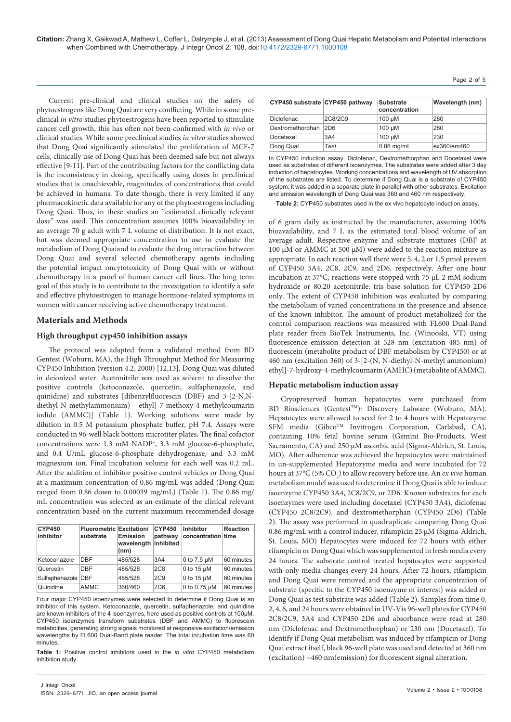**Citation:** Zhang X, Gaikwad A, Mathew L, Coffer L, Dalrymple J, et al. (2013) Assessment of Dong Quai Hepatic Metabolism and Potential Interactions when Combined with Chemotherapy. J Integr Oncol 2: 108. doi:10.4172/2329-6771.1000108

Current pre-clinical and clinical studies on the safety of phytoestrogens like Dong Quai are very conflicting. While in some preclinical *in vitro* studies phytoestrogens have been reported to stimulate cancer cell growth, this has often not been confirmed with *in vivo* or clinical studies. While some preclinical studies *in vitro* studies showed that Dong Quai significantly stimulated the proliferation of MCF-7 cells, clinically use of Dong Quai has been deemed safe but not always effective [9-11]. Part of the contributing factors for the conflicting data is the inconsistency in dosing, specifically using doses in preclinical studies that is unachievable, magnitudes of concentrations that could be achieved in humans. To date though, there is very limited if any pharmacokinetic data available for any of the phytoestrogens including Dong Quai. Thus, in these studies an "estimated clinically relevant dose" was used. This concentration assumes 100% bioavailability in an average 70 g adult with 7 L volume of distribution. It is not exact, but was deemed appropriate concentration to use to evaluate the metabolism of Dong Quaiand to evaluate the drug interaction between Dong Quai and several selected chemotherapy agents including the potential impact oncytotoxicity of Dong Quai with or without chemotherapy in a panel of human cancer cell lines. The long term goal of this study is to contribute to the investigation to identify a safe and effective phytoestrogen to manage hormone-related symptoms in women with cancer receiving active chemotherapy treatment.

# **Materials and Methods**

## **High throughput cyp450 inhibition assays**

The protocol was adapted from a validated method from BD Gentest (Woburn, MA), the High Throughput Method for Measuring CYP450 Inhibition (version 4.2, 2000) [12,13]. Dong Quai was diluted in deionized water. Acetonitrile was used as solvent to dissolve the positive controls (ketoconazole, quercetin, sulfaphenazole, and quinidine) and substrates [dibenzylfluorescin (DBF) and 3-[2-N,Ndiethyl-N-methylammonium) ethyl]-7-methoxy-4-methylcoumarin iodide (AMMC)] (Table 1). Working solutions were made by dilution in 0.5 M potassium phosphate buffer, pH 7.4. Assays were conducted in 96-well black bottom microtiter plates. The final cofactor concentrations were 1.3 mM NADP+, 3.3 mM glucose-6-phosphate, and 0.4 U/mL glucose-6-phosphate dehydrogenase, and 3.3 mM magnesium ion. Final incubation volume for each well was 0.2 mL. After the addition of inhibitor positive control vehicles or Dong Quai at a maximum concentration of 0.86 mg/mL was added (Dong Quai ranged from 0.86 down to 0.00039 mg/mL) (Table 1). The 0.86 mg/ mL concentration was selected as an estimate of the clinical relevant concentration based on the current maximum recommended dosage

| <b>CYP450</b><br>inhibitor | <b>Fluorometric Excitation/</b><br>substrate | <b>Emission</b><br>wavelength<br>(nm) | <b>CYP450</b><br>pathway<br>inhibited | <b>Inhibitor</b><br>concentration time | <b>Reaction</b> |
|----------------------------|----------------------------------------------|---------------------------------------|---------------------------------------|----------------------------------------|-----------------|
| Ketoconazole               | <b>DBF</b>                                   | 485/528                               | 3A4                                   | 0 to $7.5 \mu M$                       | 60 minutes      |
| Quercetin                  | <b>DBF</b>                                   | 485/528                               | 2C8                                   | 0 to 15 $\mu$ M                        | 60 minutes      |
| Sulfaphenazole DBF         |                                              | 485/528                               | 2C9                                   | 0 to 15 $\mu$ M                        | 60 minutes      |
| Quinidine                  | <b>AMMC</b>                                  | 360/460                               | 2D <sub>6</sub>                       | 0 to 0.75 $\mu$ M                      | 60 minutes      |

Four major CYP450 isoenzymes were selected to determine if Dong Quai is an inhibitor of this system. Ketoconazole, quercetin, sulfaphenazole, and quinidine are known inhibitors of the 4 isoenzymes, here used as positive controls at 100µM. CYP450 isoenzymes transform substrates (DBF and AMMC) to fluorescein metabolites, generating strong signals monitored at responsive excitation/emission wavelengths by FL600 Dual-Band plate reader. The total incubation time was 60 minutes.

**Table 1:** Positive control inhibitors used in the *in vitro* CYP450 metabolism inhibition study.

|  | $aye$ $\epsilon$ $vi$ |  |  |
|--|-----------------------|--|--|
|  |                       |  |  |
|  |                       |  |  |

Page 2 of 5

| CYP450 substrate CYP450 pathway |         | <b>Substrate</b><br>concentration | Wavelength (nm) |
|---------------------------------|---------|-----------------------------------|-----------------|
| <b>Diclofenac</b>               | 2C8/2C9 | 100 µM                            | 280             |
| Dextromethorphan                | 2D6     | 100 µM                            | 280             |
| Docetaxel                       | 3A4     | 100 µM                            | 230             |
| Dong Quai                       | Test    | $0.86$ mg/mL                      | ex360/em460     |

In CYP450 induction assay, Diclofenac, Dextromethorphan and Docetaxel were used as substrates of different isoenzymes. The substrates were added after 3 day induction of hepatocytes. Working concentrations and wavelength of UV absorption of the substrates are listed. To determine if Dong Quai is a substrate of CYP450 system, it was added in a separate plate in parallel with other substrates. Excitation and emission wavelength of Dong Quai was 360 and 460 nm respectively.

**Table 2:** CYP450 substrates used in the ex vivo hepatocyte induction assay.

of 6 gram daily as instructed by the manufacturer, assuming 100% bioavailability, and 7 L as the estimated total blood volume of an average adult. Respective enzyme and substrate mixtures (DBF at 100 µM or AMMC at 500 µM) were added to the reaction mixture as appropriate. In each reaction well there were 5, 4, 2 or 1.5 pmol present of CYP450 3A4, 2C8, 2C9, and 2D6, respectively. After one hour incubation at 37°C, reactions were stopped with 75 µL 2 mM sodium hydroxide or 80:20 acetonitrile: tris base solution for CYP450 2D6 only. The extent of CYP450 inhibition was evaluated by comparing the metabolism of varied concentrations in the presence and absence of the known inhibitor. The amount of product metabolized for the control comparison reactions was measured with FL600 Dual-Band plate reader from BioTek Instruments, Inc. (Winooski, VT) using fluorescence emission detection at 528 nm (excitation 485 nm) of fluorescein (metabolite product of DBF metabolism by CYP450) or at 460 nm (excitation 360) of 3-[2-(N, N-diethyl-N-methyl ammonium) ethyl]-7-hydroxy-4-methylcoumarin (AMHC) (metabolite of AMMC).

## **Hepatic metabolism induction assay**

Cryopreserved human hepatocytes were purchased from BD Biosciences (Gentest<sup>TM</sup>): Discovery Labware (Woburn, MA). Hepatocytes were allowed to seed for 2 to 4 hours with Hepatozyme SFM media (Gibco™ Invitrogen Corporation, Carlsbad, CA), containing 10% fetal bovine serum (Gemini Bio-Products, West Sacramento, CA) and 250 µM ascorbic acid (Sigma-Aldrich, St. Louis, MO). After adherence was achieved the hepatocytes were maintained in un-supplemented Hepatozyme media and were incubated for 72 hours at 37°C (5% CO<sub>2</sub>) to allow recovery before use. An *ex vivo* human metabolism model was used to determine if Dong Quai is able to induce isoenzyme CYP450 3A4, 2C8/2C9, or 2D6. Known substrates for each isoenzymes were used including docetaxel (CYP450 3A4), diclofenac (CYP450 2C8/2C9), and dextromethorphan (CYP450 2D6) (Table 2). The assay was performed in quadruplicate comparing Dong Quai 0.86 mg/mL with a control inducer, rifampicin 25 µM (Sigma-Aldrich, St. Louis, MO) Hepatocytes were induced for 72 hours with either rifampicin or Dong Quai which was supplemented in fresh media every 24 hours. The substrate control treated hepatocytes were supported with only media changes every 24 hours. After 72 hours, rifampicin and Dong Quai were removed and the appropriate concentration of substrate (specific to the CYP450 isoenzyme of interest) was added or Dong Quai as test substrate was added (Table 2). Samples from time 0, 2, 4, 6, and 24 hours were obtained in UV-Vis 96-well plates for CYP450 2C8/2C9, 3A4 and CYP450 2D6 and absorbance were read at 280 nm (Diclofenac and Dextromethorphan) or 230 nm (Docetaxel). To identify if Dong Quai metabolism was induced by rifampicin or Dong Quai extract itself, black 96-well plate was used and detected at 360 nm (excitation) ~460 nm(emission) for fluorescent signal alteration.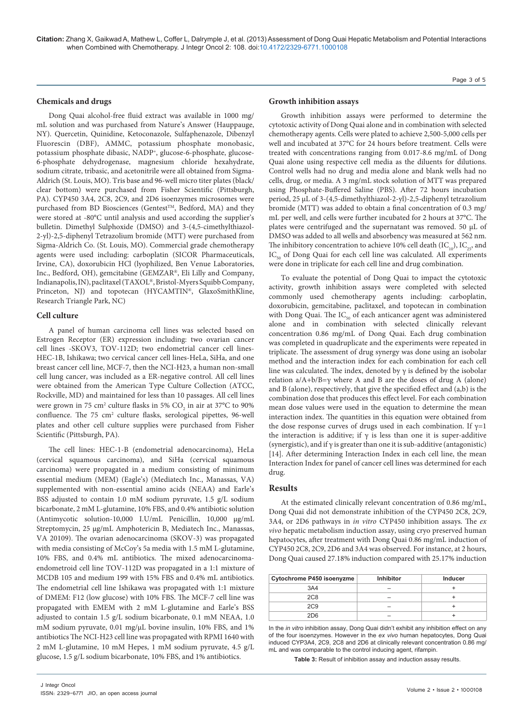**Citation:** Zhang X, Gaikwad A, Mathew L, Coffer L, Dalrymple J, et al. (2013) Assessment of Dong Quai Hepatic Metabolism and Potential Interactions when Combined with Chemotherapy. J Integr Oncol 2: 108. doi:10.4172/2329-6771.1000108

#### Page 3 of 5

#### **Chemicals and drugs**

Dong Quai alcohol-free fluid extract was available in 1000 mg/ mL solution and was purchased from Nature's Answer (Hauppauge, NY). Quercetin, Quinidine, Ketoconazole, Sulfaphenazole, Dibenzyl Fluorescin (DBF), AMMC, potassium phosphate monobasic, potassium phosphate dibasic, NADP+, glucose-6-phosphate, glucose-6-phosphate dehydrogenase, magnesium chloride hexahydrate, sodium citrate, tribasic, and acetonitrile were all obtained from Sigma-Aldrich (St. Louis, MO). Tris base and 96-well micro titer plates (black/ clear bottom) were purchased from Fisher Scientific (Pittsburgh, PA). CYP450 3A4, 2C8, 2C9, and 2D6 isoenzymes microsomes were purchased from BD Biosciences (Gentest™, Bedford, MA) and they were stored at -80°C until analysis and used according the supplier's bulletin. Dimethyl Sulphoxide (DMSO) and 3-(4,5-cimethylthiazol-2-yl)-2,5-diphenyl Tetrazolium bromide (MTT) were purchased from Sigma-Aldrich Co. (St. Louis, MO). Commercial grade chemotherapy agents were used including: carboplatin (SICOR Pharmaceuticals, Irvine, CA), doxorubicin HCl (lyophilized, Ben Venue Laboratories, Inc., Bedford, OH), gemcitabine (GEMZAR®, Eli Lilly and Company, Indianapolis, IN), paclitaxel (TAXOL®, Bristol-Myers Squibb Company, Princeton, NJ) and topotecan (HYCAMTIN®, GlaxoSmithKline, Research Triangle Park, NC)

# **Cell culture**

A panel of human carcinoma cell lines was selected based on Estrogen Receptor (ER) expression including: two ovarian cancer cell lines -SKOV3, TOV-112D; two endometrial cancer cell lines-HEC-1B, Ishikawa; two cervical cancer cell lines-HeLa, SiHa, and one breast cancer cell line, MCF-7, then the NCI-H23, a human non-small cell lung cancer, was included as a ER-negative control. All cell lines were obtained from the American Type Culture Collection (ATCC, Rockville, MD) and maintained for less than 10 passages. All cell lines were grown in 75 cm<sup>2</sup> culture flasks in 5%  $\rm CO_2$  in air at 37°C to 90% confluence. The 75 cm<sup>2</sup> culture flasks, serological pipettes, 96-well plates and other cell culture supplies were purchased from Fisher Scientific (Pittsburgh, PA).

The cell lines: HEC-1-B (endometrial adenocarcinoma), HeLa (cervical squamous carcinoma), and SiHa (cervical squamous carcinoma) were propagated in a medium consisting of minimum essential medium (MEM) (Eagle's) (Mediatech Inc., Manassas, VA) supplemented with non-essential amino acids (NEAA) and Earle's BSS adjusted to contain 1.0 mM sodium pyruvate, 1.5 g/L sodium bicarbonate, 2 mM L-glutamine, 10% FBS, and 0.4% antibiotic solution (Antimycotic solution-10,000 I.U/mL Penicillin, 10,000 µg/mL Streptomycin, 25 µg/mL Amphotericin B, Mediatech Inc., Manassas, VA 20109). The ovarian adenocarcinoma (SKOV-3) was propagated with media consisting of McCoy's 5a media with 1.5 mM L-glutamine, 10% FBS, and 0.4% mL antibiotics. The mixed adenocarcinomaendometroid cell line TOV-112D was propagated in a 1:1 mixture of MCDB 105 and medium 199 with 15% FBS and 0.4% mL antibiotics. The endometrial cell line Ishikawa was propagated with 1:1 mixture of DMEM: F12 (low glucose) with 10% FBS. The MCF-7 cell line was propagated with EMEM with 2 mM L-glutamine and Earle's BSS adjusted to contain 1.5 g/L sodium bicarbonate, 0.1 mM NEAA, 1.0 mM sodium pyruvate, 0.01 mg/µL bovine insulin, 10% FBS, and 1% antibiotics The NCI-H23 cell line was propagated with RPMI 1640 with 2 mM L-glutamine, 10 mM Hepes, 1 mM sodium pyruvate, 4.5 g/L glucose, 1.5 g/L sodium bicarbonate, 10% FBS, and 1% antibiotics.

#### **Growth inhibition assays**

Growth inhibition assays were performed to determine the cytotoxic activity of Dong Quai alone and in combination with selected chemotherapy agents. Cells were plated to achieve 2,500-5,000 cells per well and incubated at 37°C for 24 hours before treatment. Cells were treated with concentrations ranging from 0.017-8.6 mg/mL of Dong Quai alone using respective cell media as the diluents for dilutions. Control wells had no drug and media alone and blank wells had no cells, drug, or media. A 3 mg/mL stock solution of MTT was prepared using Phosphate-Buffered Saline (PBS). After 72 hours incubation period, 25 µL of 3-(4,5-dimethylthiazol-2-yl)-2,5-diphenyl tetrazolium bromide (MTT) was added to obtain a final concentration of 0.3 mg/ mL per well, and cells were further incubated for 2 hours at 37°C. The plates were centrifuged and the supernatant was removed. 50 µL of DMSO was added to all wells and absorbency was measured at 562 nm. The inhibitory concentration to achieve 10% cell death  $(IC_{10})$ ,  $IC_{25}$ , and  $IC_{50}$  of Dong Quai for each cell line was calculated. All experiments were done in triplicate for each cell line and drug combination.

To evaluate the potential of Dong Quai to impact the cytotoxic activity, growth inhibition assays were completed with selected commonly used chemotherapy agents including: carboplatin, doxorubicin, gemcitabine, paclitaxel, and topotecan in combination with Dong Quai. The  $IC_{50}$  of each anticancer agent was administered alone and in combination with selected clinically relevant concentration 0.86 mg/mL of Dong Quai. Each drug combination was completed in quadruplicate and the experiments were repeated in triplicate. The assessment of drug synergy was done using an isobolar method and the interaction index for each combination for each cell line was calculated. The index, denoted by  $\gamma$  is defined by the isobolar relation a/A+b/B=γ where A and B are the doses of drug A (alone) and B (alone), respectively, that give the specified effect and (a,b) is the combination dose that produces this effect level. For each combination mean dose values were used in the equation to determine the mean interaction index. The quantities in this equation were obtained from the dose response curves of drugs used in each combination. If  $\gamma=1$ the interaction is additive; if  $\gamma$  is less than one it is super-additive (synergistic), and if  $\gamma$  is greater than one it is sub-additive (antagonistic) [14]. After determining Interaction Index in each cell line, the mean Interaction Index for panel of cancer cell lines was determined for each drug.

#### **Results**

At the estimated clinically relevant concentration of 0.86 mg/mL, Dong Quai did not demonstrate inhibition of the CYP450 2C8, 2C9, 3A4, or 2D6 pathways in *in vitro* CYP450 inhibition assays. The *ex vivo* hepatic metabolism induction assay, using cryo preserved human hepatocytes, after treatment with Dong Quai 0.86 mg/mL induction of CYP450 2C8, 2C9, 2D6 and 3A4 was observed. For instance, at 2 hours, Dong Quai caused 27.18% induction compared with 25.17% induction

| Cytochrome P450 isoenyzme | <b>Inhibitor</b> | Inducer |
|---------------------------|------------------|---------|
| 3A4                       |                  |         |
| <b>2C8</b>                |                  |         |
| 2 <sub>C</sub> 9          |                  |         |
| 2D6                       |                  |         |

In the *in vitro* inhibition assay, Dong Quai didn't exhibit any inhibition effect on any of the four isoenzymes. However in the *ex vivo* human hepatocytes, Dong Quai induced CYP3A4, 2C9, 2C8 and 2D6 at clinically relevant concentration 0.86 mg/ mL and was comparable to the control inducing agent, rifampin.

**Table 3:** Result of inhibition assay and induction assay results.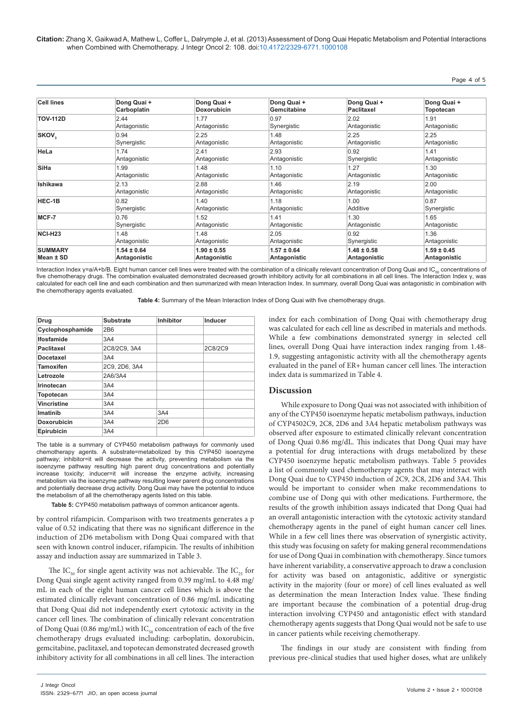**Citation:** Zhang X, Gaikwad A, Mathew L, Coffer L, Dalrymple J, et al. (2013) Assessment of Dong Quai Hepatic Metabolism and Potential Interactions when Combined with Chemotherapy. J Integr Oncol 2: 108. doi:10.4172/2329-6771.1000108

| <b>Cell lines</b> | Dong Quai +     | Dong Quai +        | Dong Quai +     | Dong Quai +       | Dong Quai +      |
|-------------------|-----------------|--------------------|-----------------|-------------------|------------------|
|                   | Carboplatin     | <b>Doxorubicin</b> | Gemcitabine     | <b>Paclitaxel</b> | <b>Topotecan</b> |
| <b>TOV-112D</b>   | 2.44            | 1.77               | 0.97            | 2.02              | 1.91             |
|                   | Antagonistic    | Antagonistic       | Synergistic     | Antagonistic      | Antagonistic     |
| SKOV,             | 0.94            | 2.25               | 1.48            | 2.25              | 2.25             |
|                   | Synergistic     | Antagonistic       | Antagonistic    | Antagonistic      | Antagonistic     |
| HeLa              | 1.74            | 2.41               | 2.93            | 0.92              | 1.41             |
|                   | Antagonistic    | Antagonistic       | Antagonistic    | Synergistic       | Antagonistic     |
| <b>SiHa</b>       | 1.99            | 1.48               | 1.10            | 1.27              | 1.30             |
|                   | Antagonistic    | Antagonistic       | Antagonistic    | Antagonistic      | Antagonistic     |
| <b>Ishikawa</b>   | 2.13            | 2.88               | 1.46            | 2.19              | 2.00             |
|                   | Antagonistic    | Antagonistic       | Antagonistic    | Antagonistic      | Antagonistic     |
| HEC-1B            | 0.82            | 1.40               | 1.18            | 1.00              | 0.87             |
|                   | Synergistic     | Antagonistic       | Antagonistic    | Additive          | Synergistic      |
| MCF-7             | 0.76            | 1.52               | 1.41            | 1.30              | 1.65             |
|                   | Synergistic     | Antagonistic       | Antagonistic    | Antagonistic      | Antagonistic     |
| NCI-H23           | 1.48            | 1.48               | 2.05            | 0.92              | 1.36             |
|                   | Antagonistic    | Antagonistic       | Antagonistic    | Synergistic       | Antagonistic     |
| <b>SUMMARY</b>    | $1.54 \pm 0.64$ | $1.90 \pm 0.55$    | $1.57 \pm 0.64$ | $1.48 \pm 0.58$   | $1.59 \pm 0.45$  |
| Mean ± SD         | Antagonistic    | Antagonistic       | Antagonistic    | Antagonistic      | Antagonistic     |

Interaction Index y=a/A+b/B. Eight human cancer cell lines were treated with the combination of a clinically relevant concentration of Dong Quai and IC. concentrations of five chemotherapy drugs. The combination evaluated demonstrated decreased growth inhibitory activity for all combinations in all cell lines. The Interaction Index γ, was calculated for each cell line and each combination and then summarized with mean Interaction Index. In summary, overall Dong Quai was antagonistic in combination with the chemotherapy agents evaluated.

**Table 4:** Summary of the Mean Interaction Index of Dong Quai with five chemotherapy drugs.

| Drug               | <b>Substrate</b> | <b>Inhibitor</b> | Inducer |
|--------------------|------------------|------------------|---------|
| Cyclophosphamide   | 2B <sub>6</sub>  |                  |         |
| <b>Ifosfamide</b>  | 3A4              |                  |         |
| <b>Paclitaxel</b>  | 2C8/2C9, 3A4     |                  | 2C8/2C9 |
| <b>Docetaxel</b>   | 3A4              |                  |         |
| <b>Tamoxifen</b>   | 2C9, 2D6, 3A4    |                  |         |
| Letrozole          | 2A6/3A4          |                  |         |
| Irinotecan         | 3A4              |                  |         |
| Topotecan          | 3A4              |                  |         |
| <b>Vincristine</b> | 3A4              |                  |         |
| Imatinib           | 3A4              | 3A4              |         |
| <b>Doxorubicin</b> | 3A4              | 2D <sub>6</sub>  |         |
| Epirubicin         | 3A4              |                  |         |

The table is a summary of CYP450 metabolism pathways for commonly used chemotherapy agents. A substrate=metabolized by this CYP450 isoenzyme pathway; inhibitor=it will decrease the activity, preventing metabolism via the isoenzyme pathway resulting high parent drug concentrations and potentially increase toxicity; inducer=it will increase the enzyme activity, increasing metabolism via the isoenzyme pathway resulting lower parent drug concentrations and potentially decrease drug activity. Dong Quai may have the potential to induce the metabolism of all the chemotherapy agents listed on this table.

**Table 5:** CYP450 metabolism pathways of common anticancer agents.

by control rifampicin. Comparison with two treatments generates a p value of 0.52 indicating that there was no significant difference in the induction of 2D6 metabolism with Dong Quai compared with that seen with known control inducer, rifampicin. The results of inhibition assay and induction assay are summarized in Table 3.

The IC<sub>50</sub> for single agent activity was not achievable. The IC<sub>25</sub> for Dong Quai single agent activity ranged from 0.39 mg/mL to 4.48 mg/ mL in each of the eight human cancer cell lines which is above the estimated clinically relevant concentration of 0.86 mg/mL indicating that Dong Quai did not independently exert cytotoxic activity in the cancer cell lines. The combination of clinically relevant concentration of Dong Quai (0.86 mg/mL) with  $IC_{50}$  concentration of each of the five chemotherapy drugs evaluated including: carboplatin, doxorubicin, gemcitabine, paclitaxel, and topotecan demonstrated decreased growth inhibitory activity for all combinations in all cell lines. The interaction index for each combination of Dong Quai with chemotherapy drug was calculated for each cell line as described in materials and methods. While a few combinations demonstrated synergy in selected cell lines, overall Dong Quai have interaction index ranging from 1.48- 1.9, suggesting antagonistic activity with all the chemotherapy agents evaluated in the panel of ER+ human cancer cell lines. The interaction index data is summarized in Table 4.

# **Discussion**

While exposure to Dong Quai was not associated with inhibition of any of the CYP450 isoenzyme hepatic metabolism pathways, induction of CYP4502C9, 2C8, 2D6 and 3A4 hepatic metabolism pathways was observed after exposure to estimated clinically relevant concentration of Dong Quai 0.86 mg/dL. This indicates that Dong Quai may have a potential for drug interactions with drugs metabolized by these CYP450 isoenzyme hepatic metabolism pathways. Table 5 provides a list of commonly used chemotherapy agents that may interact with Dong Quai due to CYP450 induction of 2C9, 2C8, 2D6 and 3A4. This would be important to consider when make recommendations to combine use of Dong qui with other medications. Furthermore, the results of the growth inhibition assays indicated that Dong Quai had an overall antagonistic interaction with the cytotoxic activity standard chemotherapy agents in the panel of eight human cancer cell lines. While in a few cell lines there was observation of synergistic activity, this study was focusing on safety for making general recommendations for use of Dong Quai in combination with chemotherapy. Since tumors have inherent variability, a conservative approach to draw a conclusion for activity was based on antagonistic, additive or synergistic activity in the majority (four or more) of cell lines evaluated as well as determination the mean Interaction Index value. These finding are important because the combination of a potential drug-drug interaction involving CYP450 and antagonistic effect with standard chemotherapy agents suggests that Dong Quai would not be safe to use in cancer patients while receiving chemotherapy.

The findings in our study are consistent with finding from previous pre-clinical studies that used higher doses, what are unlikely